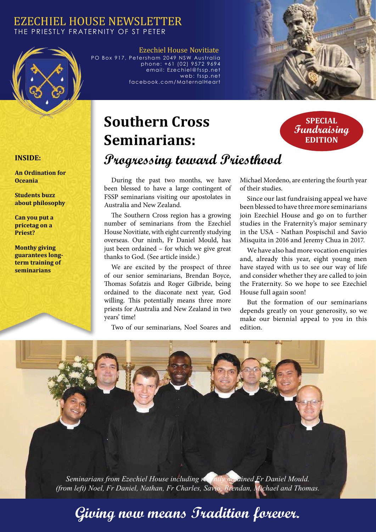#### EZECHIEL HOUSE NEWSLETTER THE PRIESTLY FRATERNITY OF ST PETER



Ezechiel House Novitiate PO Box 917, Petersham 2049 NSW Australia phone: +61 (02) 9572 9694 email: Ezechiel@fssp.net web: fssp.net facebook.com/MaternalHeart



# **Southern Cross Seminarians: Progressing toward Priesthood**

#### **SPECIAL Fundraising EDITION**

#### **INSIDE:**

**An Ordination for Oceania**

**Students buzz about philosophy**

**Can you put a pricetag on a Priest?**

**Monthy giving guarantees longterm training of seminarians**

During the past two months, we have been blessed to have a large contingent of FSSP seminarians visiting our apostolates in Australia and New Zealand.

The Southern Cross region has a growing number of seminarians from the Ezechiel House Novitiate, with eight currently studying overseas. Our ninth, Fr Daniel Mould, has just been ordained – for which we give great thanks to God. (See article inside.)

We are excited by the prospect of three of our senior seminarians, Brendan Boyce, Thomas Sofatzis and Roger Gilbride, being ordained to the diaconate next year, God willing. This potentially means three more priests for Australia and New Zealand in two years' time!

Two of our seminarians, Noel Soares and

Michael Mordeno, are entering the fourth year of their studies.

Since our last fundraising appeal we have been blessed to have three more seminarians join Ezechiel House and go on to further studies in the Fraternity's major seminary in the USA - Nathan Pospischil and Savio Misquita in 2016 and Jeremy Chua in 2017.

We have also had more vocation enquiries and, already this year, eight young men have stayed with us to see our way of life and consider whether they are called to join the Fraternity. So we hope to see Ezechiel House full again soon!

But the formation of our seminarians depends greatly on your generosity, so we make our biennial appeal to you in this edition.

*Seminarians from Ezechiel House including recently ordained Fr Daniel Mould. (from left) Noel, Fr Daniel, Nathan, Fr Charles, Savio, Brendan, Michael and Thomas.*

# **Giving now means Tradition forever.**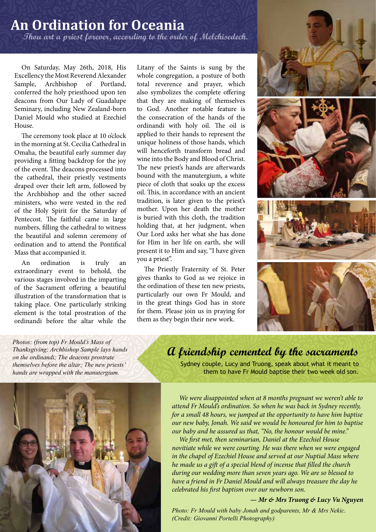## **An Ordination for Oceania Thou art a priest forever, according to the order of Melchisedech.**

On Saturday, May 26th, 2018, His Excellency the Most Reverend Alexander Sample, Archbishop of Portland, conferred the holy priesthood upon ten deacons from Our Lady of Guadalupe Seminary, including New Zealand-born Daniel Mould who studied at Ezechiel House.

The ceremony took place at 10 o'clock in the morning at St. Cecilia Cathedral in Omaha, the beautiful early summer day providing a fitting backdrop for the joy of the event. The deacons processed into the cathedral, their priestly vestments draped over their left arm, followed by the Archbishop and the other sacred ministers, who were vested in the red of the Holy Spirit for the Saturday of Pentecost. The faithful came in large numbers, filling the cathedral to witness the beautiful and solemn ceremony of ordination and to attend the Pontifical Mass that accompanied it.

An ordination is truly an extraordinary event to behold, the various stages involved in the imparting of the Sacrament offering a beautiful illustration of the transformation that is taking place. One particularly striking element is the total prostration of the ordinandi before the altar while the Litany of the Saints is sung by the whole congregation, a posture of both total reverence and prayer, which also symbolizes the complete offering that they are making of themselves to God. Another notable feature is the consecration of the hands of the ordinandi with holy oil. The oil is applied to their hands to represent the unique holiness of those hands, which will henceforth transform bread and wine into the Body and Blood of Christ. The new priest's hands are afterwards bound with the manutergium, a white piece of cloth that soaks up the excess oil. This, in accordance with an ancient tradition, is later given to the priest's mother. Upon her death the mother is buried with this cloth, the tradition holding that, at her judgment, when Our Lord asks her what she has done for Him in her life on earth, she will present it to Him and say, "I have given you a priest".

The Priestly Fraternity of St. Peter gives thanks to God as we rejoice in the ordination of these ten new priests, particularly our own Fr Mould, and in the great things God has in store for them. Please join us in praying for them as they begin their new work.



*Photos: (from top) Fr Mould's Mass of Thanksgiving; Archbishop Sample lays hands on the ordinandi; The deacons prostrate themselves before the altar; The new priests' hands are wrapped with the manutergium.*

## **A friendship cemented by the sacraments**

Sydney couple, Lucy and Truong, speak about what it meant to them to have Fr Mould baptise their two week old son.

*We were disappointed when at 8 months pregnant we weren't able to attend Fr Mould's ordination. So when he was back in Sydney recently, for a small 48 hours, we jumped at the opportunity to have him baptise our new baby, Jonah. We said we would be honoured for him to baptise our baby and he assured us that, "No, the honour would be mine."* 

*We first met, then seminarian, Daniel at the Ezechiel House novitiate while we were courting. He was there when we were engaged in the chapel of Ezechiel House and served at our Nuptial Mass where he made us a gift of a special blend of incense that filled the church during our wedding more than seven years ago. We are so blessed to have a friend in Fr Daniel Mould and will always treasure the day he celebrated his first baptism over our newborn son.*

#### *— Mr & Mrs Truong & Lucy Vu Nguyen*

*Photo: Fr Mould with baby Jonah and godparents, Mr & Mrs Nekic. (Credit: Giovanni Portelli Photography)*

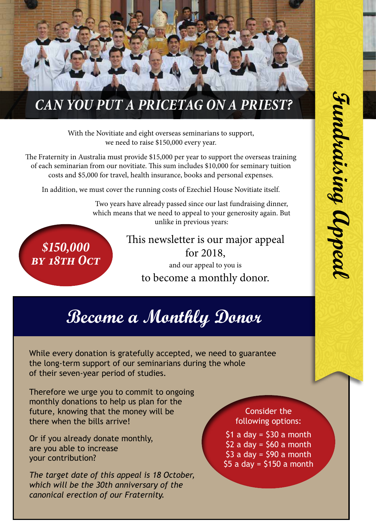

# *CAN YOU PUT A PRICETAG ON A PRIEST?*

With the Novitiate and eight overseas seminarians to support, we need to raise \$150,000 every year.

The Fraternity in Australia must provide \$15,000 per year to support the overseas training of each seminarian from our novitiate. This sum includes \$10,000 for seminary tuition costs and \$5,000 for travel, health insurance, books and personal expenses.

In addition, we must cover the running costs of Ezechiel House Novitiate itself.

Two years have already passed since our last fundraising dinner, which means that we need to appeal to your generosity again. But unlike in previous years:

*\$150,000 by 18th Oct* This newsletter is our major appeal for 2018, and our appeal to you is to become a monthly donor.

# **Become a Monthly Donor**

While every donation is gratefully accepted, we need to guarantee the long-term support of our seminarians during the whole of their seven-year period of studies.

Therefore we urge you to commit to ongoing monthly donations to help us plan for the future, knowing that the money will be there when the bills arrive!

Or if you already donate monthly, are you able to increase your contribution?

*The target date of this appeal is 18 October, which will be the 30th anniversary of the canonical erection of our Fraternity.*

Consider the following options:

 $$1$  a day =  $$30$  a month  $$2 a day = $60 a month$  $$3 a day = $90 a month$  $$5 a day = $150 a month$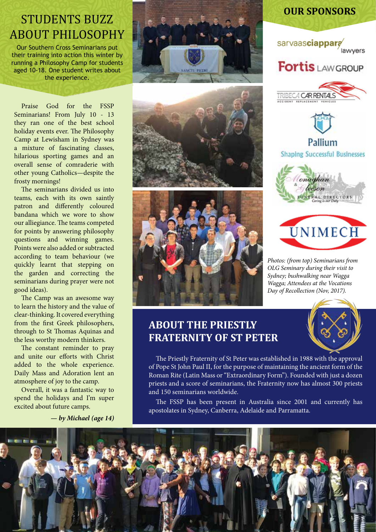# STUDENTS BUZZ ABOUT PHILOSOPHY

Our Southern Cross Seminarians put their training into action this winter by running a Philosophy Camp for students aged 10-18. One student writes about the experience.

Praise God for the FSSP Seminarians! From July 10 - 13 they ran one of the best school holiday events ever. The Philosophy Camp at Lewisham in Sydney was a mixture of fascinating classes, hilarious sporting games and an overall sense of comraderie with other young Catholics—despite the frosty mornings!

The seminarians divided us into teams, each with its own saintly patron and differently coloured bandana which we wore to show our alliegiance. The teams competed for points by answering philosophy questions and winning games. Points were also added or subtracted according to team behaviour (we quickly learnt that stepping on the garden and correcting the seminarians during prayer were not good ideas).

The Camp was an awesome way to learn the history and the value of clear-thinking. It covered everything from the first Greek philosophers, through to St Thomas Aquinas and the less worthy modern thinkers.

The constant reminder to pray and unite our efforts with Christ added to the whole experience. Daily Mass and Adoration lent an atmosphere of joy to the camp.

Overall, it was a fantastic way to spend the holidays and I'm super excited about future camps.

*— by Michael (age 14)*







### **OUR SPONSORS**







**Shaping Successful Businesses** 





*Photos: (from top) Seminarians from OLG Seminary during their visit to Sydney; bushwalking near Wagga Wagga; Attendees at the Vocations Day of Recollection (Nov, 2017).*

## **ABOUT THE PRIESTLY FRATERNITY OF ST PETER**

The Priestly Fraternity of St Peter was established in 1988 with the approval of Pope St John Paul II, for the purpose of maintaining the ancient form of the Roman Rite (Latin Mass or "Extraordinary Form"). Founded with just a dozen priests and a score of seminarians, the Fraternity now has almost 300 priests and 150 seminarians worldwide.

The FSSP has been present in Australia since 2001 and currently has apostolates in Sydney, Canberra, Adelaide and Parramatta.